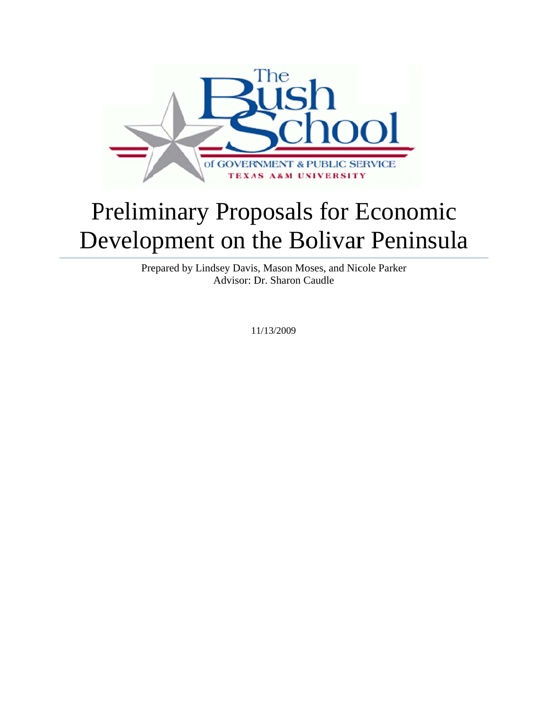

# Preliminary Proposals for Economic Development on the Bolivar Peninsula

Prepared by Lindsey Davis, Mason Moses, and Nicole Parker Advisor: D Dr. Sharon C Caudle

1 1/13/2009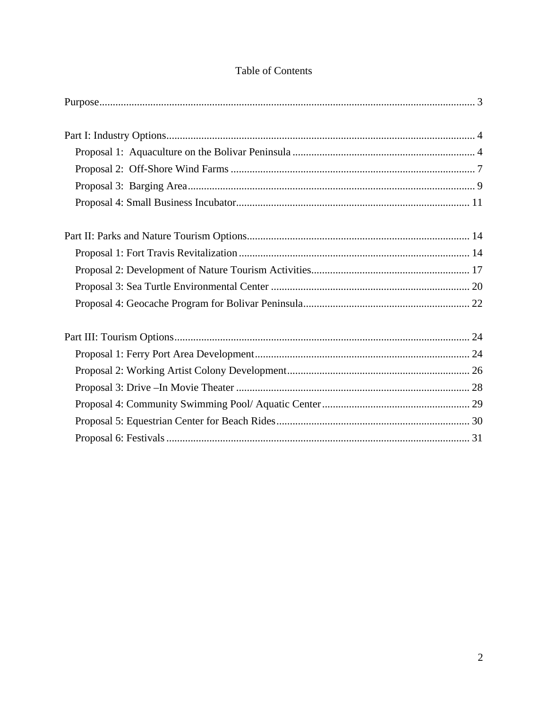|  | <b>Table of Contents</b> |
|--|--------------------------|
|  |                          |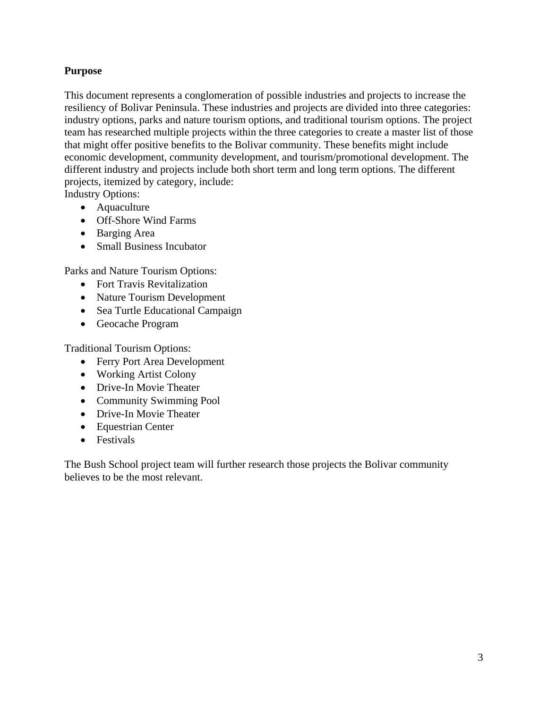## **Purpose**

This document represents a conglomeration of possible industries and projects to increase the resiliency of Bolivar Peninsula. These industries and projects are divided into three categories: industry options, parks and nature tourism options, and traditional tourism options. The project team has researched multiple projects within the three categories to create a master list of those that might offer positive benefits to the Bolivar community. These benefits might include economic development, community development, and tourism/promotional development. The different industry and projects include both short term and long term options. The different projects, itemized by category, include:

Industry Options:

- Aquaculture
- Off-Shore Wind Farms
- Barging Area
- Small Business Incubator

Parks and Nature Tourism Options:

- Fort Travis Revitalization
- Nature Tourism Development
- Sea Turtle Educational Campaign
- Geocache Program

Traditional Tourism Options:

- Ferry Port Area Development
- Working Artist Colony
- Drive-In Movie Theater
- Community Swimming Pool
- Drive-In Movie Theater
- Equestrian Center
- Festivals

The Bush School project team will further research those projects the Bolivar community believes to be the most relevant.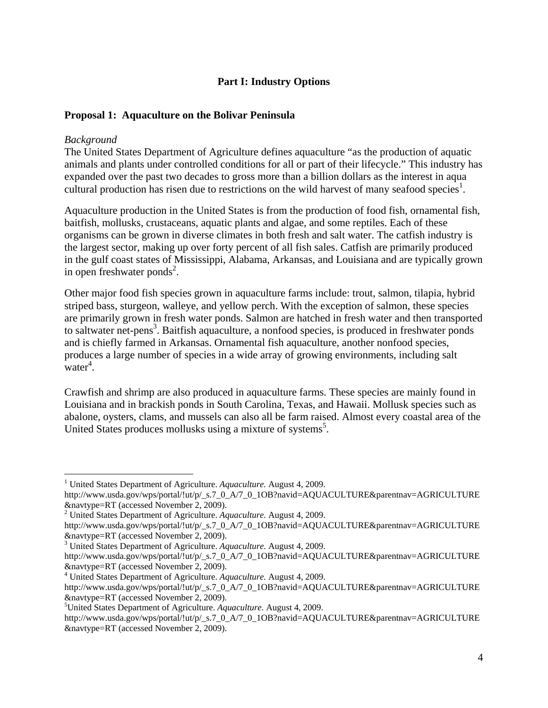## **Part I: Industry Options**

#### **Proposal 1: Aquaculture on the Bolivar Peninsula**

#### *Background*

 $\overline{a}$ 

The United States Department of Agriculture defines aquaculture "as the production of aquatic animals and plants under controlled conditions for all or part of their lifecycle." This industry has expanded over the past two decades to gross more than a billion dollars as the interest in aqua cultural production has risen due to restrictions on the wild harvest of many seafood species<sup>1</sup>.

Aquaculture production in the United States is from the production of food fish, ornamental fish, baitfish, mollusks, crustaceans, aquatic plants and algae, and some reptiles. Each of these organisms can be grown in diverse climates in both fresh and salt water. The catfish industry is the largest sector, making up over forty percent of all fish sales. Catfish are primarily produced in the gulf coast states of Mississippi, Alabama, Arkansas, and Louisiana and are typically grown in open freshwater ponds<sup>2</sup>.

Other major food fish species grown in aquaculture farms include: trout, salmon, tilapia, hybrid striped bass, sturgeon, walleye, and yellow perch. With the exception of salmon, these species are primarily grown in fresh water ponds. Salmon are hatched in fresh water and then transported to saltwater net-pens<sup>3</sup>. Baitfish aquaculture, a nonfood species, is produced in freshwater ponds and is chiefly farmed in Arkansas. Ornamental fish aquaculture, another nonfood species, produces a large number of species in a wide array of growing environments, including salt  $\omega$  water<sup>4</sup>.

Crawfish and shrimp are also produced in aquaculture farms. These species are mainly found in Louisiana and in brackish ponds in South Carolina, Texas, and Hawaii. Mollusk species such as abalone, oysters, clams, and mussels can also all be farm raised. Almost every coastal area of the United States produces mollusks using a mixture of systems<sup>5</sup>.

<sup>&</sup>lt;sup>1</sup> United States Department of Agriculture. *Aquaculture*. August 4, 2009.

http://www.usda.gov/wps/portal/!ut/p/\_s.7\_0\_A/7\_0\_1OB?navid=AQUACULTURE&parentnav=AGRICULTURE &navtype=RT (accessed November 2, 2009). 2 United States Department of Agriculture. *Aquaculture.* August 4, 2009.

http://www.usda.gov/wps/portal/!ut/p/\_s.7\_0\_A/7\_0\_1OB?navid=AQUACULTURE&parentnav=AGRICULTURE &navtype=RT (accessed November 2, 2009). 3

United States Department of Agriculture. *Aquaculture.* August 4, 2009.

http://www.usda.gov/wps/portal/!ut/p/\_s.7\_0\_A/7\_0\_1OB?navid=AQUACULTURE&parentnav=AGRICULTURE &navtype=RT (accessed November 2, 2009). 4

United States Department of Agriculture. *Aquaculture.* August 4, 2009.

http://www.usda.gov/wps/portal/!ut/p/\_s.7\_0\_A/7\_0\_1OB?navid=AQUACULTURE&parentnav=AGRICULTURE &navtype=RT (accessed November 2, 2009). 5

United States Department of Agriculture. *Aquaculture.* August 4, 2009.

http://www.usda.gov/wps/portal/!ut/p/\_s.7\_0\_A/7\_0\_1OB?navid=AQUACULTURE&parentnav=AGRICULTURE &navtype=RT (accessed November 2, 2009).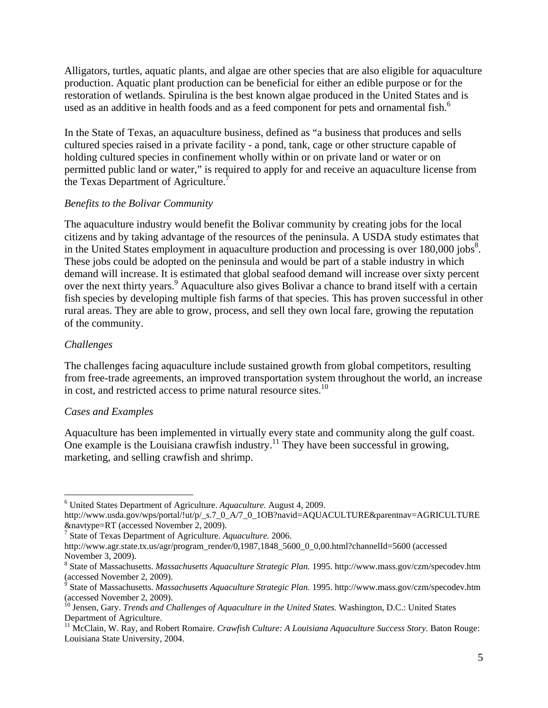Alligators, turtles, aquatic plants, and algae are other species that are also eligible for aquaculture production. Aquatic plant production can be beneficial for either an edible purpose or for the restoration of wetlands. Spirulina is the best known algae produced in the United States and is used as an additive in health foods and as a feed component for pets and ornamental fish.<sup>6</sup>

In the State of Texas, an aquaculture business, defined as "a business that produces and sells cultured species raised in a private facility - a pond, tank, cage or other structure capable of holding cultured species in confinement wholly within or on private land or water or on permitted public land or water," is required to apply for and receive an aquaculture license from the Texas Department of Agriculture.<sup>7</sup>

## *Benefits to the Bolivar Community*

The aquaculture industry would benefit the Bolivar community by creating jobs for the local citizens and by taking advantage of the resources of the peninsula. A USDA study estimates that in the United States employment in aquaculture production and processing is over  $180,000$  jobs<sup>8</sup>. These jobs could be adopted on the peninsula and would be part of a stable industry in which demand will increase. It is estimated that global seafood demand will increase over sixty percent over the next thirty years.<sup>9</sup> Aquaculture also gives Bolivar a chance to brand itself with a certain fish species by developing multiple fish farms of that species. This has proven successful in other rural areas. They are able to grow, process, and sell they own local fare, growing the reputation of the community.

## *Challenges*

 $\overline{a}$ 

The challenges facing aquaculture include sustained growth from global competitors, resulting from free-trade agreements, an improved transportation system throughout the world, an increase in cost, and restricted access to prime natural resource sites.<sup>10</sup>

## *Cases and Examples*

Aquaculture has been implemented in virtually every state and community along the gulf coast. One example is the Louisiana crawfish industry.<sup>11</sup> They have been successful in growing, marketing, and selling crawfish and shrimp.

<sup>6</sup> United States Department of Agriculture. *Aquaculture.* August 4, 2009.

http://www.usda.gov/wps/portal/!ut/p/\_s.7\_0\_A/7\_0\_1OB?navid=AQUACULTURE&parentnav=AGRICULTURE &navtype=RT (accessed November 2, 2009). 7

State of Texas Department of Agriculture. *Aquaculture.* 2006.

http://www.agr.state.tx.us/agr/program\_render/0,1987,1848\_5600\_0\_0,00.html?channelId=5600 (accessed November 3, 2009).

<sup>8</sup> State of Massachusetts. *Massachusetts Aquaculture Strategic Plan.* 1995. http://www.mass.gov/czm/specodev.htm (accessed November 2, 2009).

<sup>9</sup> State of Massachusetts. *Massachusetts Aquaculture Strategic Plan.* 1995. http://www.mass.gov/czm/specodev.htm (accessed November 2, 2009).

<sup>10</sup> Jensen, Gary. *Trends and Challenges of Aquaculture in the United States.* Washington, D.C.: United States Department of Agriculture.

<sup>&</sup>lt;sup>11</sup> McClain, W. Ray, and Robert Romaire. *Crawfish Culture: A Louisiana Aquaculture Success Story*. Baton Rouge: Louisiana State University, 2004.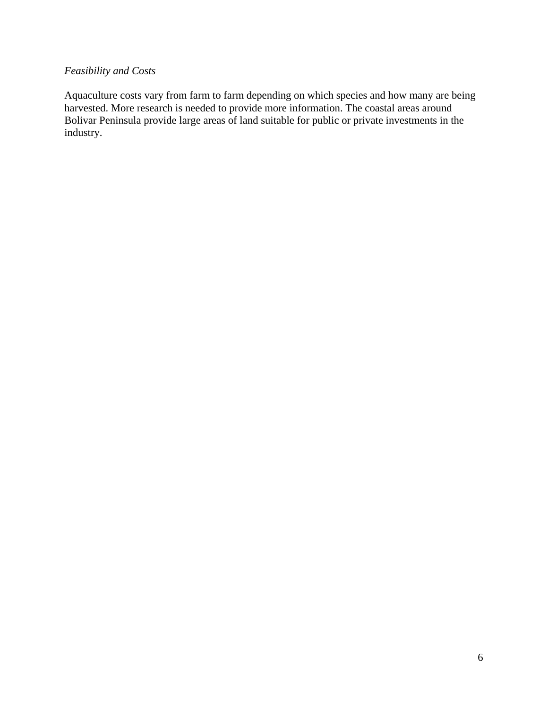## *Feasibility and Costs*

Aquaculture costs vary from farm to farm depending on which species and how many are being harvested. More research is needed to provide more information. The coastal areas around Bolivar Peninsula provide large areas of land suitable for public or private investments in the industry.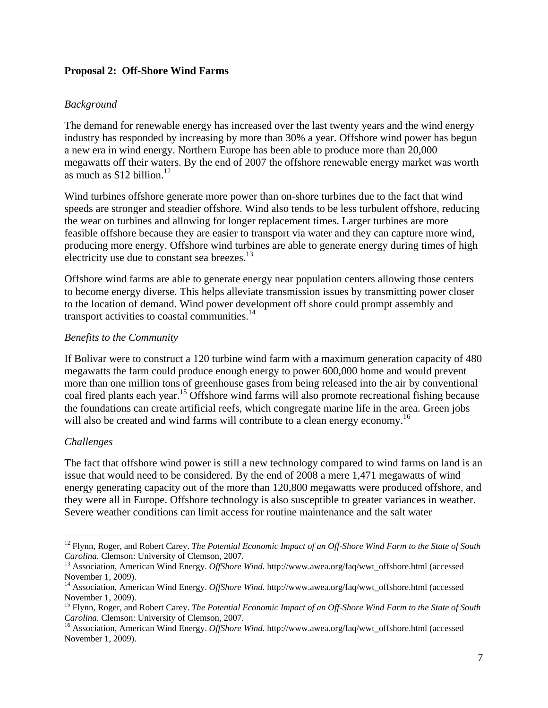## **Proposal 2: Off-Shore Wind Farms**

## *Background*

The demand for renewable energy has increased over the last twenty years and the wind energy industry has responded by increasing by more than 30% a year. Offshore wind power has begun a new era in wind energy. Northern Europe has been able to produce more than 20,000 megawatts off their waters. By the end of 2007 the offshore renewable energy market was worth as much as  $$12$  billion.<sup>12</sup>

Wind turbines offshore generate more power than on-shore turbines due to the fact that wind speeds are stronger and steadier offshore. Wind also tends to be less turbulent offshore, reducing the wear on turbines and allowing for longer replacement times. Larger turbines are more feasible offshore because they are easier to transport via water and they can capture more wind, producing more energy. Offshore wind turbines are able to generate energy during times of high electricity use due to constant sea breezes.<sup>13</sup>

Offshore wind farms are able to generate energy near population centers allowing those centers to become energy diverse. This helps alleviate transmission issues by transmitting power closer to the location of demand. Wind power development off shore could prompt assembly and transport activities to coastal communities.<sup>14</sup>

#### *Benefits to the Community*

If Bolivar were to construct a 120 turbine wind farm with a maximum generation capacity of 480 megawatts the farm could produce enough energy to power 600,000 home and would prevent more than one million tons of greenhouse gases from being released into the air by conventional coal fired plants each year.<sup>15</sup> Offshore wind farms will also promote recreational fishing because the foundations can create artificial reefs, which congregate marine life in the area. Green jobs will also be created and wind farms will contribute to a clean energy economy.<sup>16</sup>

#### *Challenges*

 $\overline{a}$ 

The fact that offshore wind power is still a new technology compared to wind farms on land is an issue that would need to be considered. By the end of 2008 a mere 1,471 megawatts of wind energy generating capacity out of the more than 120,800 megawatts were produced offshore, and they were all in Europe. Offshore technology is also susceptible to greater variances in weather. Severe weather conditions can limit access for routine maintenance and the salt water

<sup>&</sup>lt;sup>12</sup> Flynn, Roger, and Robert Carey. *The Potential Economic Impact of an Off-Shore Wind Farm to the State of South Carolina. Clemson: University of Clemson, 2007.* 

<sup>&</sup>lt;sup>13</sup> Association, American Wind Energy. *OffShore Wind.* http://www.awea.org/faq/wwt\_offshore.html (accessed November 1, 2009).

<sup>&</sup>lt;sup>14</sup> Association, American Wind Energy. *OffShore Wind.* http://www.awea.org/faq/wwt\_offshore.html (accessed November 1, 2009).

<sup>15</sup> Flynn, Roger, and Robert Carey. *The Potential Economic Impact of an Off-Shore Wind Farm to the State of South Carolina.* Clemson: University of Clemson, 2007.<br><sup>16</sup> Association, American Wind Energy. *OffShore Wind.* http://www.awea.org/faq/wwt\_offshore.html (accessed

November 1, 2009).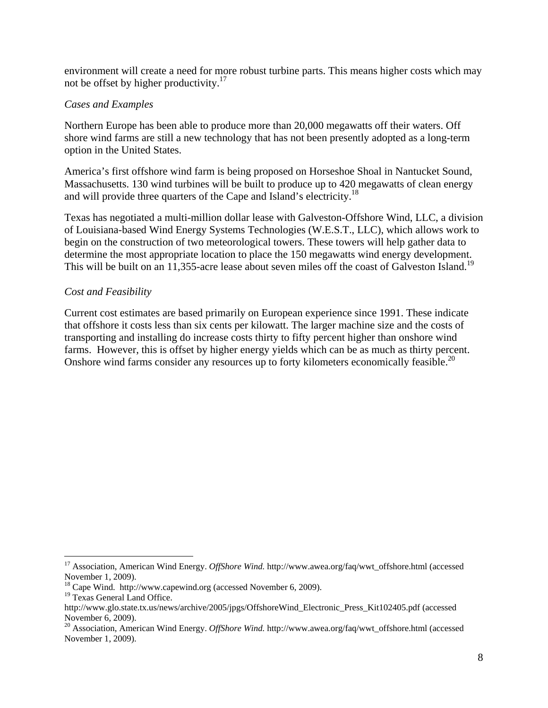environment will create a need for more robust turbine parts. This means higher costs which may not be offset by higher productivity.<sup>17</sup>

## *Cases and Examples*

Northern Europe has been able to produce more than 20,000 megawatts off their waters. Off shore wind farms are still a new technology that has not been presently adopted as a long-term option in the United States.

America's first offshore wind farm is being proposed on Horseshoe Shoal in Nantucket Sound, Massachusetts. 130 wind turbines will be built to produce up to 420 megawatts of clean energy and will provide three quarters of the Cape and Island's electricity.<sup>18</sup>

Texas has negotiated a multi-million dollar lease with Galveston-Offshore Wind, LLC, a division of Louisiana-based Wind Energy Systems Technologies (W.E.S.T., LLC), which allows work to begin on the construction of two meteorological towers. These towers will help gather data to determine the most appropriate location to place the 150 megawatts wind energy development. This will be built on an 11,355-acre lease about seven miles off the coast of Galveston Island.<sup>19</sup>

## *Cost and Feasibility*

Current cost estimates are based primarily on European experience since 1991. These indicate that offshore it costs less than six cents per kilowatt. The larger machine size and the costs of transporting and installing do increase costs thirty to fifty percent higher than onshore wind farms. However, this is offset by higher energy yields which can be as much as thirty percent. Onshore wind farms consider any resources up to forty kilometers economically feasible.<sup>20</sup>

1

<sup>17</sup> Association, American Wind Energy. *OffShore Wind.* http://www.awea.org/faq/wwt\_offshore.html (accessed November 1, 2009).

<sup>18</sup> Cape Wind. http://www.capewind.org (accessed November 6, 2009).

<sup>&</sup>lt;sup>19</sup> Texas General Land Office.

http://www.glo.state.tx.us/news/archive/2005/jpgs/OffshoreWind\_Electronic\_Press\_Kit102405.pdf (accessed November 6, 2009).

<sup>20</sup> Association, American Wind Energy. *OffShore Wind.* http://www.awea.org/faq/wwt\_offshore.html (accessed November 1, 2009).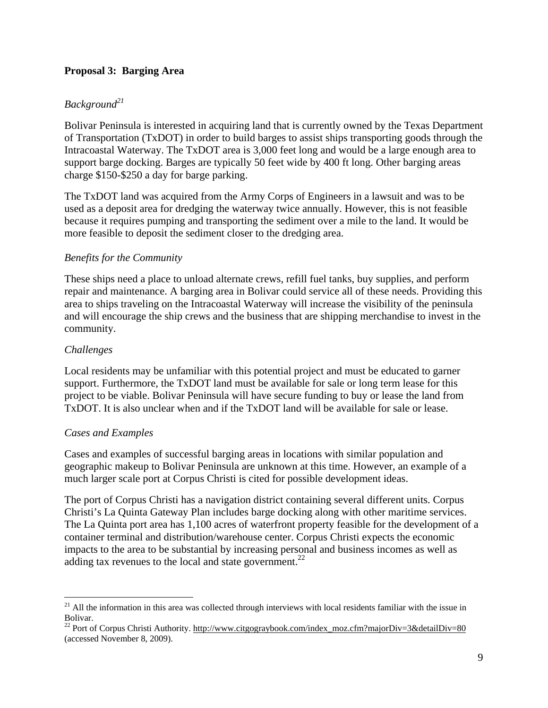## **Proposal 3: Barging Area**

## *Background<sup>21</sup>*

Bolivar Peninsula is interested in acquiring land that is currently owned by the Texas Department of Transportation (TxDOT) in order to build barges to assist ships transporting goods through the Intracoastal Waterway. The TxDOT area is 3,000 feet long and would be a large enough area to support barge docking. Barges are typically 50 feet wide by 400 ft long. Other barging areas charge \$150-\$250 a day for barge parking.

The TxDOT land was acquired from the Army Corps of Engineers in a lawsuit and was to be used as a deposit area for dredging the waterway twice annually. However, this is not feasible because it requires pumping and transporting the sediment over a mile to the land. It would be more feasible to deposit the sediment closer to the dredging area.

## *Benefits for the Community*

These ships need a place to unload alternate crews, refill fuel tanks, buy supplies, and perform repair and maintenance. A barging area in Bolivar could service all of these needs. Providing this area to ships traveling on the Intracoastal Waterway will increase the visibility of the peninsula and will encourage the ship crews and the business that are shipping merchandise to invest in the community.

## *Challenges*

 $\overline{a}$ 

Local residents may be unfamiliar with this potential project and must be educated to garner support. Furthermore, the TxDOT land must be available for sale or long term lease for this project to be viable. Bolivar Peninsula will have secure funding to buy or lease the land from TxDOT. It is also unclear when and if the TxDOT land will be available for sale or lease.

## *Cases and Examples*

Cases and examples of successful barging areas in locations with similar population and geographic makeup to Bolivar Peninsula are unknown at this time. However, an example of a much larger scale port at Corpus Christi is cited for possible development ideas.

The port of Corpus Christi has a navigation district containing several different units. Corpus Christi's La Quinta Gateway Plan includes barge docking along with other maritime services. The La Quinta port area has 1,100 acres of waterfront property feasible for the development of a container terminal and distribution/warehouse center. Corpus Christi expects the economic impacts to the area to be substantial by increasing personal and business incomes as well as adding tax revenues to the local and state government.<sup>22</sup>

 $21$  All the information in this area was collected through interviews with local residents familiar with the issue in Bolivar.

<sup>&</sup>lt;sup>22</sup> Port of Corpus Christi Authority. http://www.citgograybook.com/index\_moz.cfm?majorDiv=3&detailDiv=80 (accessed November 8, 2009).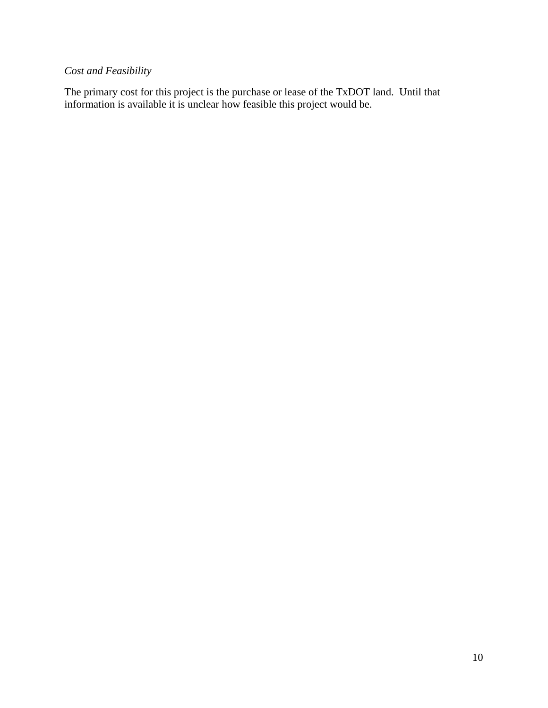## *Cost and Feasibility*

The primary cost for this project is the purchase or lease of the TxDOT land. Until that information is available it is unclear how feasible this project would be.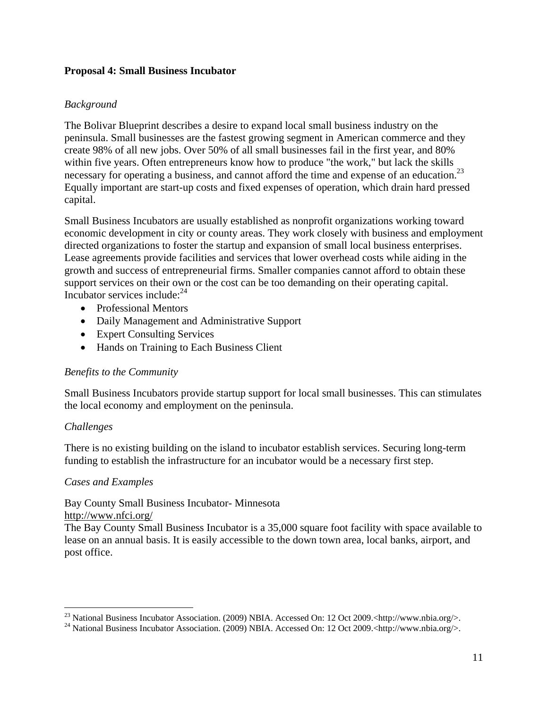## **Proposal 4: Small Business Incubator**

## *Background*

The Bolivar Blueprint describes a desire to expand local small business industry on the peninsula. Small businesses are the fastest growing segment in American commerce and they create 98% of all new jobs. Over 50% of all small businesses fail in the first year, and 80% within five years. Often entrepreneurs know how to produce "the work," but lack the skills necessary for operating a business, and cannot afford the time and expense of an education.<sup>23</sup> Equally important are start-up costs and fixed expenses of operation, which drain hard pressed capital.

Small Business Incubators are usually established as nonprofit organizations working toward economic development in city or county areas. They work closely with business and employment directed organizations to foster the startup and expansion of small local business enterprises. Lease agreements provide facilities and services that lower overhead costs while aiding in the growth and success of entrepreneurial firms. Smaller companies cannot afford to obtain these support services on their own or the cost can be too demanding on their operating capital. Incubator services include: $24$ 

- Professional Mentors
- Daily Management and Administrative Support
- Expert Consulting Services
- Hands on Training to Each Business Client

#### *Benefits to the Community*

Small Business Incubators provide startup support for local small businesses. This can stimulates the local economy and employment on the peninsula.

#### *Challenges*

There is no existing building on the island to incubator establish services. Securing long-term funding to establish the infrastructure for an incubator would be a necessary first step.

#### *Cases and Examples*

Bay County Small Business Incubator- Minnesota

http://www.nfci.org/

The Bay County Small Business Incubator is a 35,000 square foot facility with space available to lease on an annual basis. It is easily accessible to the down town area, local banks, airport, and post office.

<sup>&</sup>lt;sup>23</sup> National Business Incubator Association. (2009) NBIA. Accessed On: 12 Oct 2009.<http://www.nbia.org/>.

<sup>&</sup>lt;sup>24</sup> National Business Incubator Association. (2009) NBIA. Accessed On: 12 Oct 2009.<http://www.nbia.org/>.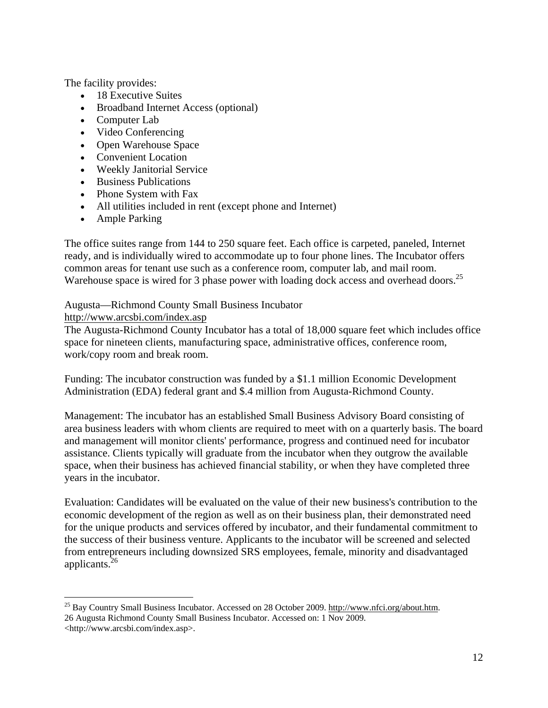The facility provides:

- 18 Executive Suites
- Broadband Internet Access (optional)
- Computer Lab
- Video Conferencing
- Open Warehouse Space
- Convenient Location
- Weekly Janitorial Service
- Business Publications
- Phone System with Fax
- All utilities included in rent (except phone and Internet)
- Ample Parking

The office suites range from 144 to 250 square feet. Each office is carpeted, paneled, Internet ready, and is individually wired to accommodate up to four phone lines. The Incubator offers common areas for tenant use such as a conference room, computer lab, and mail room. Warehouse space is wired for 3 phase power with loading dock access and overhead doors.<sup>25</sup>

Augusta—Richmond County Small Business Incubator

## http://www.arcsbi.com/index.asp

<u>.</u>

The Augusta-Richmond County Incubator has a total of 18,000 square feet which includes office space for nineteen clients, manufacturing space, administrative offices, conference room, work/copy room and break room.

Funding: The incubator construction was funded by a \$1.1 million Economic Development Administration (EDA) federal grant and \$.4 million from Augusta-Richmond County.

Management: The incubator has an established Small Business Advisory Board consisting of area business leaders with whom clients are required to meet with on a quarterly basis. The board and management will monitor clients' performance, progress and continued need for incubator assistance. Clients typically will graduate from the incubator when they outgrow the available space, when their business has achieved financial stability, or when they have completed three years in the incubator.

Evaluation: Candidates will be evaluated on the value of their new business's contribution to the economic development of the region as well as on their business plan, their demonstrated need for the unique products and services offered by incubator, and their fundamental commitment to the success of their business venture. Applicants to the incubator will be screened and selected from entrepreneurs including downsized SRS employees, female, minority and disadvantaged applicants.26

<sup>&</sup>lt;sup>25</sup> Bay Country Small Business Incubator. Accessed on 28 October 2009. http://www.nfci.org/about.htm. 26 Augusta Richmond County Small Business Incubator. Accessed on: 1 Nov 2009. <http://www.arcsbi.com/index.asp>.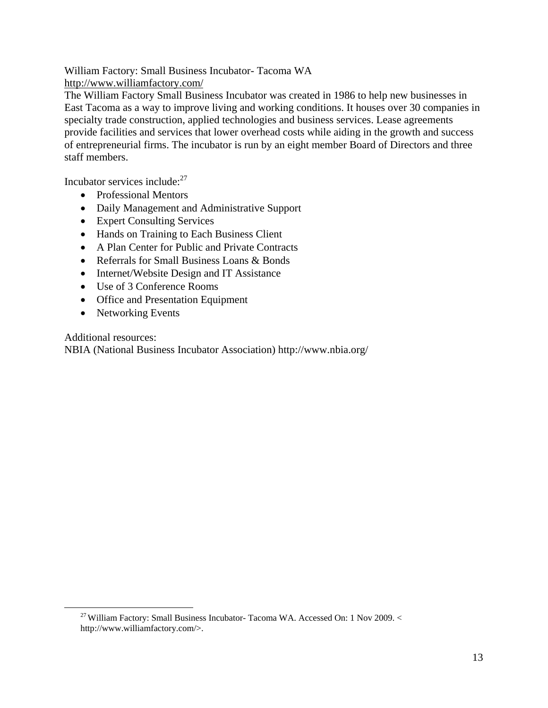William Factory: Small Business Incubator- Tacoma WA http://www.williamfactory.com/

The William Factory Small Business Incubator was created in 1986 to help new businesses in East Tacoma as a way to improve living and working conditions. It houses over 30 companies in specialty trade construction, applied technologies and business services. Lease agreements provide facilities and services that lower overhead costs while aiding in the growth and success of entrepreneurial firms. The incubator is run by an eight member Board of Directors and three staff members.

Incubator services include: $27$ 

- Professional Mentors
- Daily Management and Administrative Support
- Expert Consulting Services
- Hands on Training to Each Business Client
- A Plan Center for Public and Private Contracts
- Referrals for Small Business Loans & Bonds
- Internet/Website Design and IT Assistance
- Use of 3 Conference Rooms
- Office and Presentation Equipment
- Networking Events

Additional resources:

NBIA (National Business Incubator Association) http://www.nbia.org/

 <sup>27</sup> William Factory: Small Business Incubator- Tacoma WA. Accessed On: 1 Nov 2009. < http://www.williamfactory.com/>.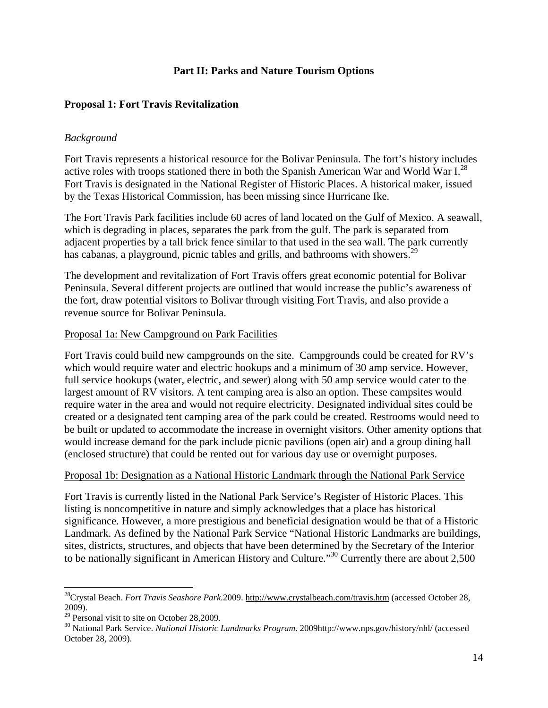## **Part II: Parks and Nature Tourism Options**

## **Proposal 1: Fort Travis Revitalization**

#### *Background*

Fort Travis represents a historical resource for the Bolivar Peninsula. The fort's history includes active roles with troops stationed there in both the Spanish American War and World War  $I^{28}$ . Fort Travis is designated in the National Register of Historic Places. A historical maker, issued by the Texas Historical Commission, has been missing since Hurricane Ike.

The Fort Travis Park facilities include 60 acres of land located on the Gulf of Mexico. A seawall, which is degrading in places, separates the park from the gulf. The park is separated from adjacent properties by a tall brick fence similar to that used in the sea wall. The park currently has cabanas, a playground, picnic tables and grills, and bathrooms with showers.<sup>29</sup>

The development and revitalization of Fort Travis offers great economic potential for Bolivar Peninsula. Several different projects are outlined that would increase the public's awareness of the fort, draw potential visitors to Bolivar through visiting Fort Travis, and also provide a revenue source for Bolivar Peninsula.

#### Proposal 1a: New Campground on Park Facilities

Fort Travis could build new campgrounds on the site. Campgrounds could be created for RV's which would require water and electric hookups and a minimum of 30 amp service. However, full service hookups (water, electric, and sewer) along with 50 amp service would cater to the largest amount of RV visitors. A tent camping area is also an option. These campsites would require water in the area and would not require electricity. Designated individual sites could be created or a designated tent camping area of the park could be created. Restrooms would need to be built or updated to accommodate the increase in overnight visitors. Other amenity options that would increase demand for the park include picnic pavilions (open air) and a group dining hall (enclosed structure) that could be rented out for various day use or overnight purposes.

#### Proposal 1b: Designation as a National Historic Landmark through the National Park Service

Fort Travis is currently listed in the National Park Service's Register of Historic Places. This listing is noncompetitive in nature and simply acknowledges that a place has historical significance. However, a more prestigious and beneficial designation would be that of a Historic Landmark. As defined by the National Park Service "National Historic Landmarks are buildings, sites, districts, structures, and objects that have been determined by the Secretary of the Interior to be nationally significant in American History and Culture."30 Currently there are about 2,500

 $\overline{a}$ 

<sup>28</sup>Crystal Beach. *Fort Travis Seashore Park.*2009. http://www.crystalbeach.com/travis.htm (accessed October 28, 2009).

 $29$  Personal visit to site on October 28,2009.

<sup>30</sup> National Park Service. *National Historic Landmarks Program*. 2009http://www.nps.gov/history/nhl/ (accessed October 28, 2009).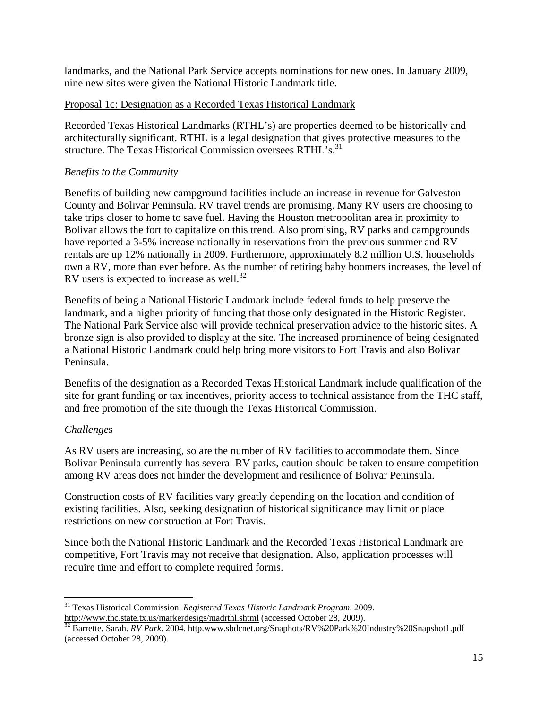landmarks, and the National Park Service accepts nominations for new ones. In January 2009, nine new sites were given the National Historic Landmark title.

## Proposal 1c: Designation as a Recorded Texas Historical Landmark

Recorded Texas Historical Landmarks (RTHL's) are properties deemed to be historically and architecturally significant. RTHL is a legal designation that gives protective measures to the structure. The Texas Historical Commission oversees RTHL's.<sup>31</sup>

## *Benefits to the Community*

Benefits of building new campground facilities include an increase in revenue for Galveston County and Bolivar Peninsula. RV travel trends are promising. Many RV users are choosing to take trips closer to home to save fuel. Having the Houston metropolitan area in proximity to Bolivar allows the fort to capitalize on this trend. Also promising, RV parks and campgrounds have reported a 3-5% increase nationally in reservations from the previous summer and RV rentals are up 12% nationally in 2009. Furthermore, approximately 8.2 million U.S. households own a RV, more than ever before. As the number of retiring baby boomers increases, the level of RV users is expected to increase as well. $^{32}$ 

Benefits of being a National Historic Landmark include federal funds to help preserve the landmark, and a higher priority of funding that those only designated in the Historic Register. The National Park Service also will provide technical preservation advice to the historic sites. A bronze sign is also provided to display at the site. The increased prominence of being designated a National Historic Landmark could help bring more visitors to Fort Travis and also Bolivar Peninsula.

Benefits of the designation as a Recorded Texas Historical Landmark include qualification of the site for grant funding or tax incentives, priority access to technical assistance from the THC staff, and free promotion of the site through the Texas Historical Commission.

## *Challenge*s

 $\overline{a}$ 

As RV users are increasing, so are the number of RV facilities to accommodate them. Since Bolivar Peninsula currently has several RV parks, caution should be taken to ensure competition among RV areas does not hinder the development and resilience of Bolivar Peninsula.

Construction costs of RV facilities vary greatly depending on the location and condition of existing facilities. Also, seeking designation of historical significance may limit or place restrictions on new construction at Fort Travis.

Since both the National Historic Landmark and the Recorded Texas Historical Landmark are competitive, Fort Travis may not receive that designation. Also, application processes will require time and effort to complete required forms.

<sup>31</sup> Texas Historical Commission. *Registered Texas Historic Landmark Program*. 2009.

http://www.thc.state.tx.us/markerdesigs/madrthl.shtml (accessed October 28, 2009). 32 Barrette, Sarah. *RV Park*. 2004. http.www.sbdcnet.org/Snaphots/RV%20Park%20Industry%20Snapshot1.pdf (accessed October 28, 2009).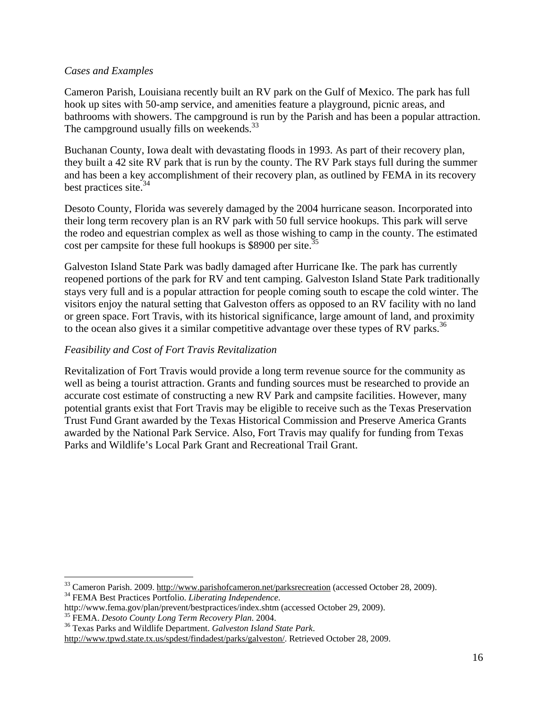## *Cases and Examples*

Cameron Parish, Louisiana recently built an RV park on the Gulf of Mexico. The park has full hook up sites with 50-amp service, and amenities feature a playground, picnic areas, and bathrooms with showers. The campground is run by the Parish and has been a popular attraction. The campground usually fills on weekends.<sup>33</sup>

Buchanan County, Iowa dealt with devastating floods in 1993. As part of their recovery plan, they built a 42 site RV park that is run by the county. The RV Park stays full during the summer and has been a key accomplishment of their recovery plan, as outlined by FEMA in its recovery best practices site. $34$ 

Desoto County, Florida was severely damaged by the 2004 hurricane season. Incorporated into their long term recovery plan is an RV park with 50 full service hookups. This park will serve the rodeo and equestrian complex as well as those wishing to camp in the county. The estimated cost per campsite for these full hookups is \$8900 per site.<sup>35</sup>

Galveston Island State Park was badly damaged after Hurricane Ike. The park has currently reopened portions of the park for RV and tent camping. Galveston Island State Park traditionally stays very full and is a popular attraction for people coming south to escape the cold winter. The visitors enjoy the natural setting that Galveston offers as opposed to an RV facility with no land or green space. Fort Travis, with its historical significance, large amount of land, and proximity to the ocean also gives it a similar competitive advantage over these types of RV parks.<sup>36</sup>

## *Feasibility and Cost of Fort Travis Revitalization*

Revitalization of Fort Travis would provide a long term revenue source for the community as well as being a tourist attraction. Grants and funding sources must be researched to provide an accurate cost estimate of constructing a new RV Park and campsite facilities. However, many potential grants exist that Fort Travis may be eligible to receive such as the Texas Preservation Trust Fund Grant awarded by the Texas Historical Commission and Preserve America Grants awarded by the National Park Service. Also, Fort Travis may qualify for funding from Texas Parks and Wildlife's Local Park Grant and Recreational Trail Grant.

1

<sup>&</sup>lt;sup>33</sup> Cameron Parish. 2009. <u>http://www.parishofcameron.net/parksrecreation</u> (accessed October 28, 2009).<br><sup>34</sup> FEMA Best Practices Portfolio. *Liberating Independence*.

http://www.fema.gov/plan/prevent/bestpractices/index.shtm (accessed October 29, 2009). 35 FEMA. *Desoto County Long Term Recovery Plan*. 2004. 36 Texas Parks and Wildlife Department. *Galveston Island State Park*.

http://www.tpwd.state.tx.us/spdest/findadest/parks/galveston/. Retrieved October 28, 2009.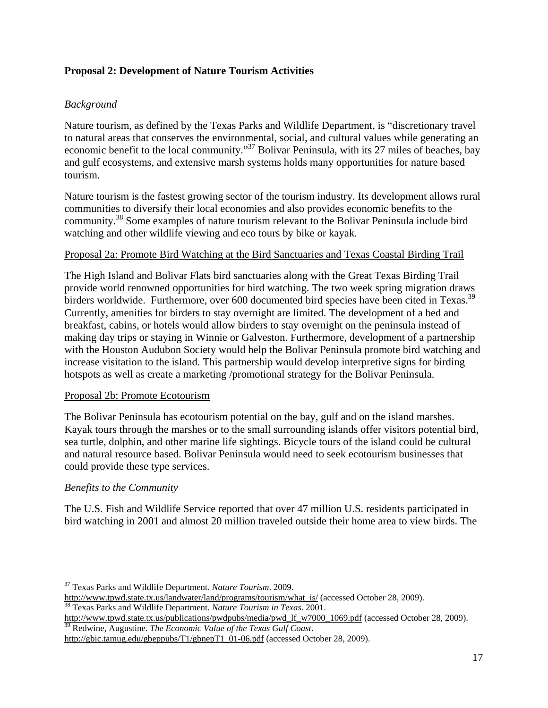## **Proposal 2: Development of Nature Tourism Activities**

## *Background*

Nature tourism, as defined by the Texas Parks and Wildlife Department, is "discretionary travel to natural areas that conserves the environmental, social, and cultural values while generating an economic benefit to the local community."37 Bolivar Peninsula, with its 27 miles of beaches, bay and gulf ecosystems, and extensive marsh systems holds many opportunities for nature based tourism.

Nature tourism is the fastest growing sector of the tourism industry. Its development allows rural communities to diversify their local economies and also provides economic benefits to the community.38 Some examples of nature tourism relevant to the Bolivar Peninsula include bird watching and other wildlife viewing and eco tours by bike or kayak.

#### Proposal 2a: Promote Bird Watching at the Bird Sanctuaries and Texas Coastal Birding Trail

The High Island and Bolivar Flats bird sanctuaries along with the Great Texas Birding Trail provide world renowned opportunities for bird watching. The two week spring migration draws birders worldwide. Furthermore, over 600 documented bird species have been cited in Texas.<sup>39</sup> Currently, amenities for birders to stay overnight are limited. The development of a bed and breakfast, cabins, or hotels would allow birders to stay overnight on the peninsula instead of making day trips or staying in Winnie or Galveston. Furthermore, development of a partnership with the Houston Audubon Society would help the Bolivar Peninsula promote bird watching and increase visitation to the island. This partnership would develop interpretive signs for birding hotspots as well as create a marketing /promotional strategy for the Bolivar Peninsula.

#### Proposal 2b: Promote Ecotourism

The Bolivar Peninsula has ecotourism potential on the bay, gulf and on the island marshes. Kayak tours through the marshes or to the small surrounding islands offer visitors potential bird, sea turtle, dolphin, and other marine life sightings. Bicycle tours of the island could be cultural and natural resource based. Bolivar Peninsula would need to seek ecotourism businesses that could provide these type services.

## *Benefits to the Community*

The U.S. Fish and Wildlife Service reported that over 47 million U.S. residents participated in bird watching in 2001 and almost 20 million traveled outside their home area to view birds. The

 $\overline{a}$ 37 Texas Parks and Wildlife Department. *Nature Tourism*. 2009.

http://www.tpwd.state.tx.us/landwater/land/programs/tourism/what\_is/ (accessed October 28, 2009). 38 Texas Parks and Wildlife Department. *Nature Tourism in Texas*. 2001.

http://www.tpwd.state.tx.us/publications/pwdpubs/media/pwd\_lf\_w7000\_1069.pdf (accessed October 28, 2009). 39 Redwine, Augustine. *The Economic Value of the Texas Gulf Coast*.

http://gbic.tamug.edu/gbeppubs/T1/gbnepT1\_01-06.pdf (accessed October 28, 2009).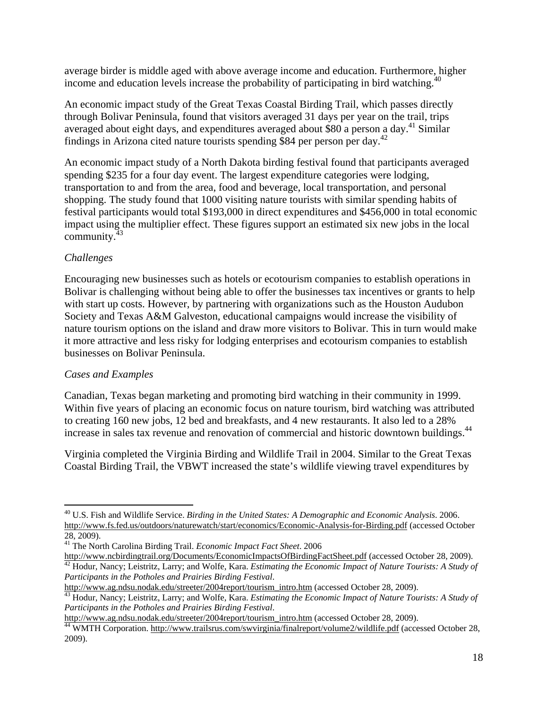average birder is middle aged with above average income and education. Furthermore, higher income and education levels increase the probability of participating in bird watching.<sup>40</sup>

An economic impact study of the Great Texas Coastal Birding Trail, which passes directly through Bolivar Peninsula, found that visitors averaged 31 days per year on the trail, trips averaged about eight days, and expenditures averaged about \$80 a person a day.<sup>41</sup> Similar findings in Arizona cited nature tourists spending \$84 per person per day.<sup>42</sup>

An economic impact study of a North Dakota birding festival found that participants averaged spending \$235 for a four day event. The largest expenditure categories were lodging, transportation to and from the area, food and beverage, local transportation, and personal shopping. The study found that 1000 visiting nature tourists with similar spending habits of festival participants would total \$193,000 in direct expenditures and \$456,000 in total economic impact using the multiplier effect. These figures support an estimated six new jobs in the local community. $43$ 

## *Challenges*

Encouraging new businesses such as hotels or ecotourism companies to establish operations in Bolivar is challenging without being able to offer the businesses tax incentives or grants to help with start up costs. However, by partnering with organizations such as the Houston Audubon Society and Texas A&M Galveston, educational campaigns would increase the visibility of nature tourism options on the island and draw more visitors to Bolivar. This in turn would make it more attractive and less risky for lodging enterprises and ecotourism companies to establish businesses on Bolivar Peninsula.

## *Cases and Examples*

Canadian, Texas began marketing and promoting bird watching in their community in 1999. Within five years of placing an economic focus on nature tourism, bird watching was attributed to creating 160 new jobs, 12 bed and breakfasts, and 4 new restaurants. It also led to a 28% increase in sales tax revenue and renovation of commercial and historic downtown buildings.<sup>44</sup>

Virginia completed the Virginia Birding and Wildlife Trail in 2004. Similar to the Great Texas Coastal Birding Trail, the VBWT increased the state's wildlife viewing travel expenditures by

http://www.ncbirdingtrail.org/Documents/EconomicImpactsOfBirdingFactSheet.pdf (accessed October 28, 2009).<br><sup>42</sup> Hodur, Nancy; Leistritz, Larry; and Wolfe, Kara. *Estimating the Economic Impact of Nature Tourists: A Study o* 

 $\overline{a}$ 40 U.S. Fish and Wildlife Service. *Birding in the United States: A Demographic and Economic Analysis*. 2006. http://www.fs.fed.us/outdoors/naturewatch/start/economics/Economic-Analysis-for-Birding.pdf (accessed October 28, 2009).

<sup>41</sup> The North Carolina Birding Trail. *Economic Impact Fact Sheet*. 2006

*Participants in the Potholes and Prairies Birding Festival*.

http://www.ag.ndsu.nodak.edu/streeter/2004report/tourism\_intro.htm (accessed October 28, 2009).<br><sup>43</sup> Hodur, Nancy; Leistritz, Larry; and Wolfe, Kara. *Estimating the Economic Impact of Nature Tourists: A Study of Participants in the Potholes and Prairies Birding Festival.*<br>http://www.ag.ndsu.nodak.edu/streeter/2004report/tourism\_intro.htm (accessed October 28, 2009).

<sup>&</sup>lt;sup>44</sup> WMTH Corporation. http://www.trailsrus.com/swvirginia/finalreport/volume2/wildlife.pdf (accessed October 28, 2009).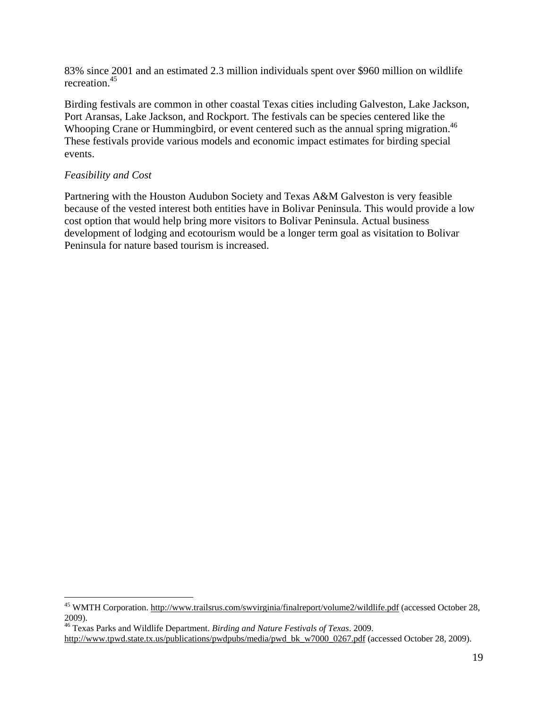83% since 2001 and an estimated 2.3 million individuals spent over \$960 million on wildlife recreation.45

Birding festivals are common in other coastal Texas cities including Galveston, Lake Jackson, Port Aransas, Lake Jackson, and Rockport. The festivals can be species centered like the Whooping Crane or Hummingbird, or event centered such as the annual spring migration.<sup>46</sup> These festivals provide various models and economic impact estimates for birding special events.

## *Feasibility and Cost*

 $\overline{a}$ 

Partnering with the Houston Audubon Society and Texas A&M Galveston is very feasible because of the vested interest both entities have in Bolivar Peninsula. This would provide a low cost option that would help bring more visitors to Bolivar Peninsula. Actual business development of lodging and ecotourism would be a longer term goal as visitation to Bolivar Peninsula for nature based tourism is increased.

<sup>&</sup>lt;sup>45</sup> WMTH Corporation. http://www.trailsrus.com/swvirginia/finalreport/volume2/wildlife.pdf (accessed October 28, 2009).

<sup>46</sup> Texas Parks and Wildlife Department. *Birding and Nature Festivals of Texas*. 2009.

http://www.tpwd.state.tx.us/publications/pwdpubs/media/pwd\_bk\_w7000\_0267.pdf (accessed October 28, 2009).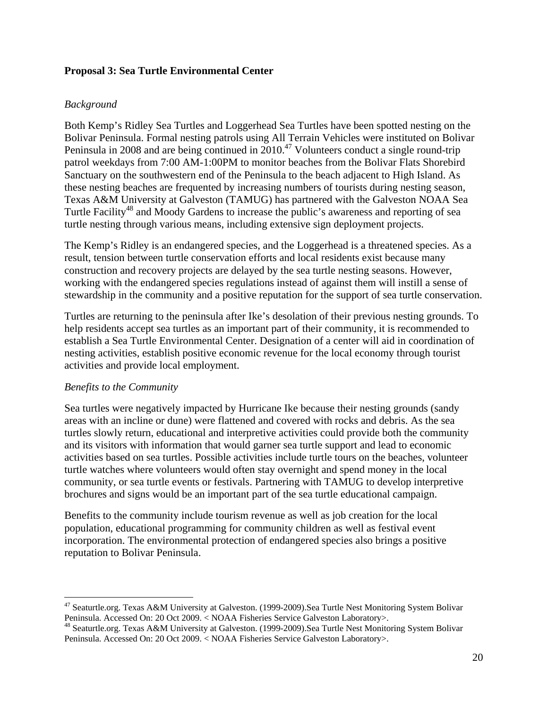## **Proposal 3: Sea Turtle Environmental Center**

## *Background*

Both Kemp's Ridley Sea Turtles and Loggerhead Sea Turtles have been spotted nesting on the Bolivar Peninsula. Formal nesting patrols using All Terrain Vehicles were instituted on Bolivar Peninsula in 2008 and are being continued in  $2010<sup>47</sup>$  Volunteers conduct a single round-trip patrol weekdays from 7:00 AM-1:00PM to monitor beaches from the Bolivar Flats Shorebird Sanctuary on the southwestern end of the Peninsula to the beach adjacent to High Island. As these nesting beaches are frequented by increasing numbers of tourists during nesting season, Texas A&M University at Galveston (TAMUG) has partnered with the Galveston NOAA Sea Turtle Facility<sup>48</sup> and Moody Gardens to increase the public's awareness and reporting of sea turtle nesting through various means, including extensive sign deployment projects.

The Kemp's Ridley is an endangered species, and the Loggerhead is a threatened species. As a result, tension between turtle conservation efforts and local residents exist because many construction and recovery projects are delayed by the sea turtle nesting seasons. However, working with the endangered species regulations instead of against them will instill a sense of stewardship in the community and a positive reputation for the support of sea turtle conservation.

Turtles are returning to the peninsula after Ike's desolation of their previous nesting grounds. To help residents accept sea turtles as an important part of their community, it is recommended to establish a Sea Turtle Environmental Center. Designation of a center will aid in coordination of nesting activities, establish positive economic revenue for the local economy through tourist activities and provide local employment.

#### *Benefits to the Community*

 $\overline{a}$ 

Sea turtles were negatively impacted by Hurricane Ike because their nesting grounds (sandy areas with an incline or dune) were flattened and covered with rocks and debris. As the sea turtles slowly return, educational and interpretive activities could provide both the community and its visitors with information that would garner sea turtle support and lead to economic activities based on sea turtles. Possible activities include turtle tours on the beaches, volunteer turtle watches where volunteers would often stay overnight and spend money in the local community, or sea turtle events or festivals. Partnering with TAMUG to develop interpretive brochures and signs would be an important part of the sea turtle educational campaign.

Benefits to the community include tourism revenue as well as job creation for the local population, educational programming for community children as well as festival event incorporation. The environmental protection of endangered species also brings a positive reputation to Bolivar Peninsula.

 $47$  Seaturtle.org. Texas A&M University at Galveston. (1999-2009). Sea Turtle Nest Monitoring System Bolivar Peninsula. Accessed On: 20 Oct 2009. < NOAA Fisheries Service Galveston Laboratory>. 48 Seaturtle.org. Texas A&M University at Galveston. (1999-2009).Sea Turtle Nest Monitoring System Bolivar

Peninsula. Accessed On: 20 Oct 2009. < NOAA Fisheries Service Galveston Laboratory>.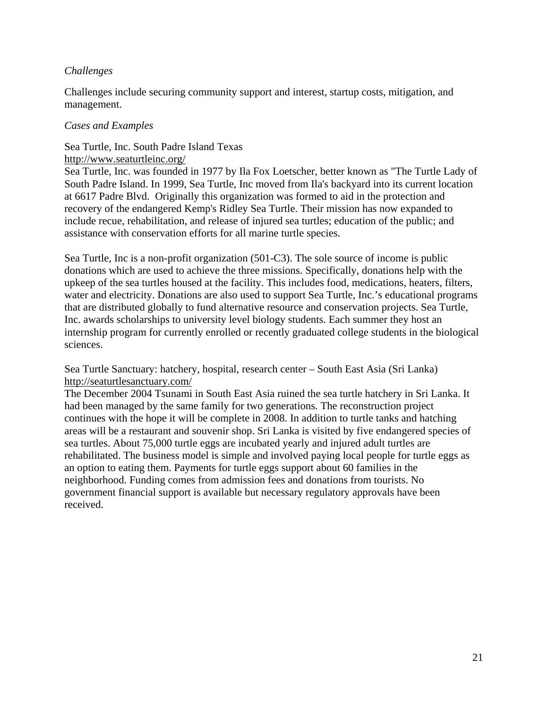## *Challenges*

Challenges include securing community support and interest, startup costs, mitigation, and management.

#### *Cases and Examples*

## Sea Turtle, Inc. South Padre Island Texas

#### http://www.seaturtleinc.org/

Sea Turtle, Inc. was founded in 1977 by Ila Fox Loetscher, better known as "The Turtle Lady of South Padre Island. In 1999, Sea Turtle, Inc moved from Ila's backyard into its current location at 6617 Padre Blvd. Originally this organization was formed to aid in the protection and recovery of the endangered Kemp's Ridley Sea Turtle. Their mission has now expanded to include recue, rehabilitation, and release of injured sea turtles; education of the public; and assistance with conservation efforts for all marine turtle species.

Sea Turtle, Inc is a non-profit organization (501-C3). The sole source of income is public donations which are used to achieve the three missions. Specifically, donations help with the upkeep of the sea turtles housed at the facility. This includes food, medications, heaters, filters, water and electricity. Donations are also used to support Sea Turtle, Inc.'s educational programs that are distributed globally to fund alternative resource and conservation projects. Sea Turtle, Inc. awards scholarships to university level biology students. Each summer they host an internship program for currently enrolled or recently graduated college students in the biological sciences.

Sea Turtle Sanctuary: hatchery, hospital, research center – South East Asia (Sri Lanka) http://seaturtlesanctuary.com/

The December 2004 Tsunami in South East Asia ruined the sea turtle hatchery in Sri Lanka. It had been managed by the same family for two generations. The reconstruction project continues with the hope it will be complete in 2008. In addition to turtle tanks and hatching areas will be a restaurant and souvenir shop. Sri Lanka is visited by five endangered species of sea turtles. About 75,000 turtle eggs are incubated yearly and injured adult turtles are rehabilitated. The business model is simple and involved paying local people for turtle eggs as an option to eating them. Payments for turtle eggs support about 60 families in the neighborhood. Funding comes from admission fees and donations from tourists. No government financial support is available but necessary regulatory approvals have been received.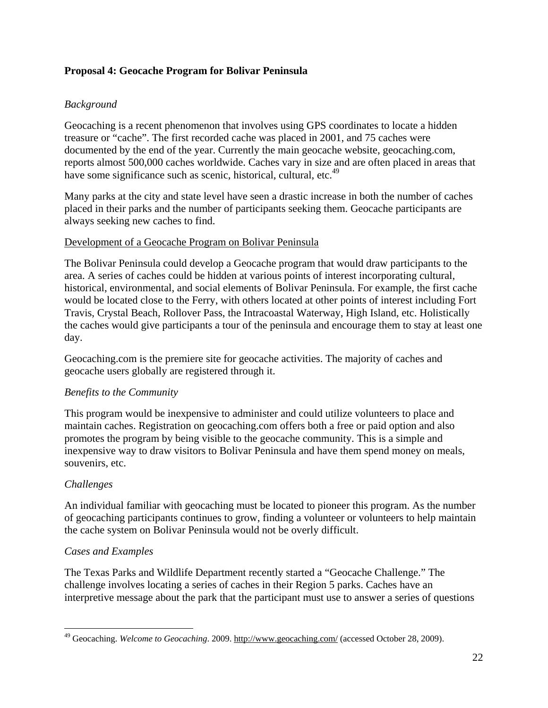## **Proposal 4: Geocache Program for Bolivar Peninsula**

## *Background*

Geocaching is a recent phenomenon that involves using GPS coordinates to locate a hidden treasure or "cache". The first recorded cache was placed in 2001, and 75 caches were documented by the end of the year. Currently the main geocache website, geocaching.com, reports almost 500,000 caches worldwide. Caches vary in size and are often placed in areas that have some significance such as scenic, historical, cultural, etc.<sup>49</sup>

Many parks at the city and state level have seen a drastic increase in both the number of caches placed in their parks and the number of participants seeking them. Geocache participants are always seeking new caches to find.

## Development of a Geocache Program on Bolivar Peninsula

The Bolivar Peninsula could develop a Geocache program that would draw participants to the area. A series of caches could be hidden at various points of interest incorporating cultural, historical, environmental, and social elements of Bolivar Peninsula. For example, the first cache would be located close to the Ferry, with others located at other points of interest including Fort Travis, Crystal Beach, Rollover Pass, the Intracoastal Waterway, High Island, etc. Holistically the caches would give participants a tour of the peninsula and encourage them to stay at least one day.

Geocaching.com is the premiere site for geocache activities. The majority of caches and geocache users globally are registered through it.

## *Benefits to the Community*

This program would be inexpensive to administer and could utilize volunteers to place and maintain caches. Registration on geocaching.com offers both a free or paid option and also promotes the program by being visible to the geocache community. This is a simple and inexpensive way to draw visitors to Bolivar Peninsula and have them spend money on meals, souvenirs, etc.

## *Challenges*

An individual familiar with geocaching must be located to pioneer this program. As the number of geocaching participants continues to grow, finding a volunteer or volunteers to help maintain the cache system on Bolivar Peninsula would not be overly difficult.

## *Cases and Examples*

The Texas Parks and Wildlife Department recently started a "Geocache Challenge." The challenge involves locating a series of caches in their Region 5 parks. Caches have an interpretive message about the park that the participant must use to answer a series of questions

 $\overline{a}$ 49 Geocaching. *Welcome to Geocaching*. 2009. http://www.geocaching.com/ (accessed October 28, 2009).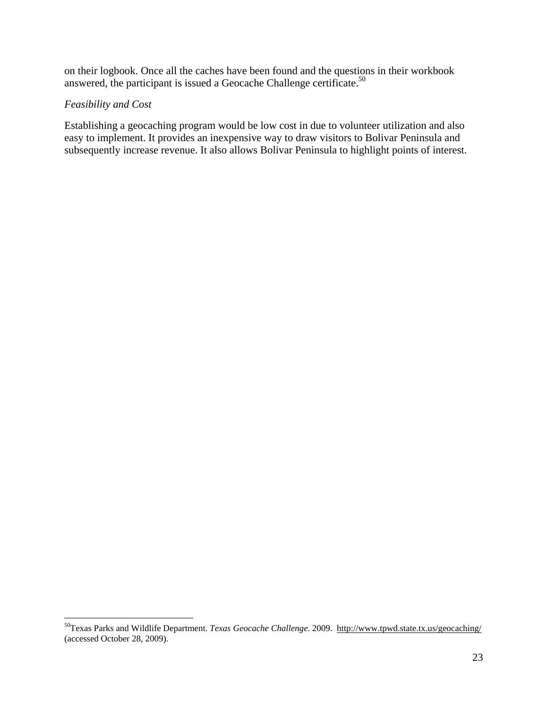on their logbook. Once all the caches have been found and the questions in their workbook answered, the participant is issued a Geocache Challenge certificate.<sup>50</sup>

## *Feasibility and Cost*

 $\overline{a}$ 

Establishing a geocaching program would be low cost in due to volunteer utilization and also easy to implement. It provides an inexpensive way to draw visitors to Bolivar Peninsula and subsequently increase revenue. It also allows Bolivar Peninsula to highlight points of interest.

<sup>50</sup>Texas Parks and Wildlife Department. *Texas Geocache Challenge*. 2009. http://www.tpwd.state.tx.us/geocaching/ (accessed October 28, 2009).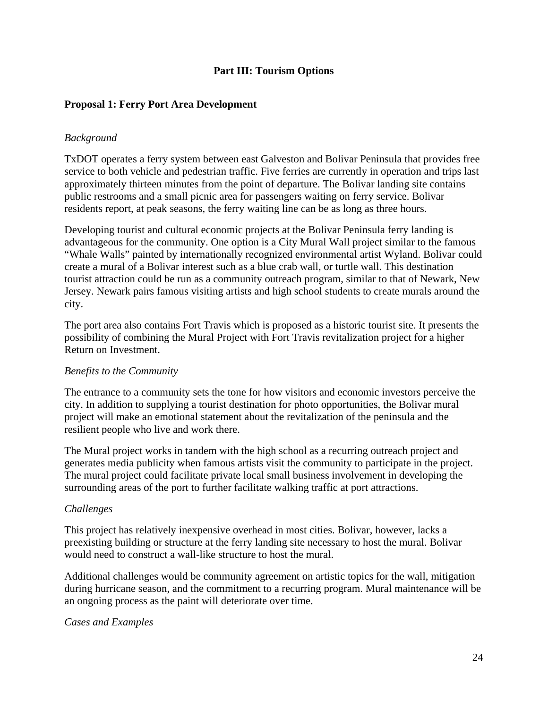## **Part III: Tourism Options**

## **Proposal 1: Ferry Port Area Development**

#### *Background*

TxDOT operates a ferry system between east Galveston and Bolivar Peninsula that provides free service to both vehicle and pedestrian traffic. Five ferries are currently in operation and trips last approximately thirteen minutes from the point of departure. The Bolivar landing site contains public restrooms and a small picnic area for passengers waiting on ferry service. Bolivar residents report, at peak seasons, the ferry waiting line can be as long as three hours.

Developing tourist and cultural economic projects at the Bolivar Peninsula ferry landing is advantageous for the community. One option is a City Mural Wall project similar to the famous "Whale Walls" painted by internationally recognized environmental artist Wyland. Bolivar could create a mural of a Bolivar interest such as a blue crab wall, or turtle wall. This destination tourist attraction could be run as a community outreach program, similar to that of Newark, New Jersey. Newark pairs famous visiting artists and high school students to create murals around the city.

The port area also contains Fort Travis which is proposed as a historic tourist site. It presents the possibility of combining the Mural Project with Fort Travis revitalization project for a higher Return on Investment.

#### *Benefits to the Community*

The entrance to a community sets the tone for how visitors and economic investors perceive the city. In addition to supplying a tourist destination for photo opportunities, the Bolivar mural project will make an emotional statement about the revitalization of the peninsula and the resilient people who live and work there.

The Mural project works in tandem with the high school as a recurring outreach project and generates media publicity when famous artists visit the community to participate in the project. The mural project could facilitate private local small business involvement in developing the surrounding areas of the port to further facilitate walking traffic at port attractions.

#### *Challenges*

This project has relatively inexpensive overhead in most cities. Bolivar, however, lacks a preexisting building or structure at the ferry landing site necessary to host the mural. Bolivar would need to construct a wall-like structure to host the mural.

Additional challenges would be community agreement on artistic topics for the wall, mitigation during hurricane season, and the commitment to a recurring program. Mural maintenance will be an ongoing process as the paint will deteriorate over time.

#### *Cases and Examples*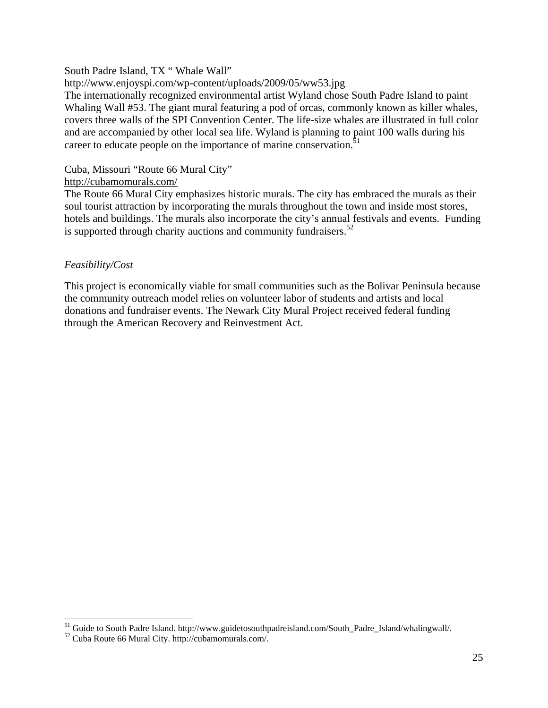#### South Padre Island, TX " Whale Wall"

#### http://www.enjoyspi.com/wp-content/uploads/2009/05/ww53.jpg

The internationally recognized environmental artist Wyland chose South Padre Island to paint Whaling Wall #53. The giant mural featuring a pod of orcas, commonly known as killer whales, covers three walls of the SPI Convention Center. The life-size whales are illustrated in full color and are accompanied by other local sea life. Wyland is planning to paint 100 walls during his career to educate people on the importance of marine conservation.<sup>51</sup>

#### Cuba, Missouri "Route 66 Mural City"

#### http://cubamomurals.com/

The Route 66 Mural City emphasizes historic murals. The city has embraced the murals as their soul tourist attraction by incorporating the murals throughout the town and inside most stores, hotels and buildings. The murals also incorporate the city's annual festivals and events. Funding is supported through charity auctions and community fundraisers. $52$ 

## *Feasibility/Cost*

 $\overline{a}$ 

This project is economically viable for small communities such as the Bolivar Peninsula because the community outreach model relies on volunteer labor of students and artists and local donations and fundraiser events. The Newark City Mural Project received federal funding through the American Recovery and Reinvestment Act.

<sup>&</sup>lt;sup>51</sup> Guide to South Padre Island. http://www.guidetosouthpadreisland.com/South\_Padre\_Island/whalingwall/.<br><sup>52</sup> Cuba Route 66 Mural City. http://cubamomurals.com/.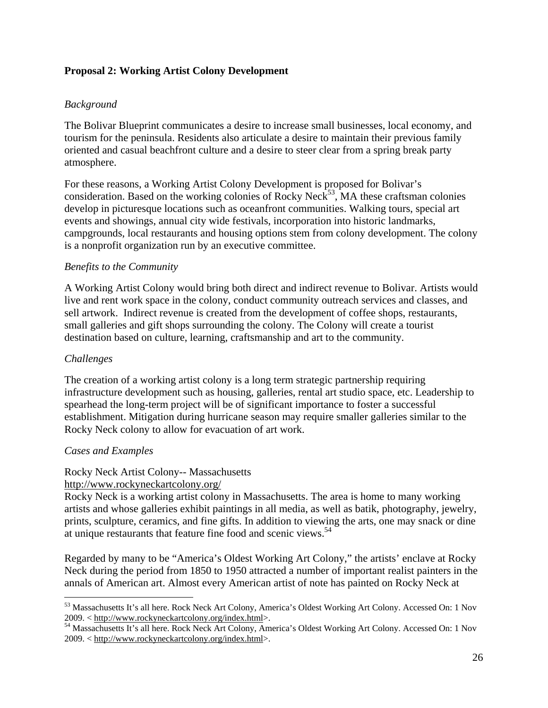## **Proposal 2: Working Artist Colony Development**

## *Background*

The Bolivar Blueprint communicates a desire to increase small businesses, local economy, and tourism for the peninsula. Residents also articulate a desire to maintain their previous family oriented and casual beachfront culture and a desire to steer clear from a spring break party atmosphere.

For these reasons, a Working Artist Colony Development is proposed for Bolivar's consideration. Based on the working colonies of Rocky Neck<sup>53</sup>, MA these craftsman colonies develop in picturesque locations such as oceanfront communities. Walking tours, special art events and showings, annual city wide festivals, incorporation into historic landmarks, campgrounds, local restaurants and housing options stem from colony development. The colony is a nonprofit organization run by an executive committee.

## *Benefits to the Community*

A Working Artist Colony would bring both direct and indirect revenue to Bolivar. Artists would live and rent work space in the colony, conduct community outreach services and classes, and sell artwork. Indirect revenue is created from the development of coffee shops, restaurants, small galleries and gift shops surrounding the colony. The Colony will create a tourist destination based on culture, learning, craftsmanship and art to the community.

## *Challenges*

 $\overline{a}$ 

The creation of a working artist colony is a long term strategic partnership requiring infrastructure development such as housing, galleries, rental art studio space, etc. Leadership to spearhead the long-term project will be of significant importance to foster a successful establishment. Mitigation during hurricane season may require smaller galleries similar to the Rocky Neck colony to allow for evacuation of art work.

## *Cases and Examples*

## Rocky Neck Artist Colony-- Massachusetts

#### http://www.rockyneckartcolony.org/

Rocky Neck is a working artist colony in Massachusetts. The area is home to many working artists and whose galleries exhibit paintings in all media, as well as batik, photography, jewelry, prints, sculpture, ceramics, and fine gifts. In addition to viewing the arts, one may snack or dine at unique restaurants that feature fine food and scenic views.<sup>54</sup>

Regarded by many to be "America's Oldest Working Art Colony," the artists' enclave at Rocky Neck during the period from 1850 to 1950 attracted a number of important realist painters in the annals of American art. Almost every American artist of note has painted on Rocky Neck at

<sup>53</sup> Massachusetts It's all here. Rock Neck Art Colony, America's Oldest Working Art Colony. Accessed On: 1 Nov 2009. < http://www.rockyneckartcolony.org/index.html>.

<sup>54</sup> Massachusetts It's all here. Rock Neck Art Colony, America's Oldest Working Art Colony. Accessed On: 1 Nov 2009. < http://www.rockyneckartcolony.org/index.html>.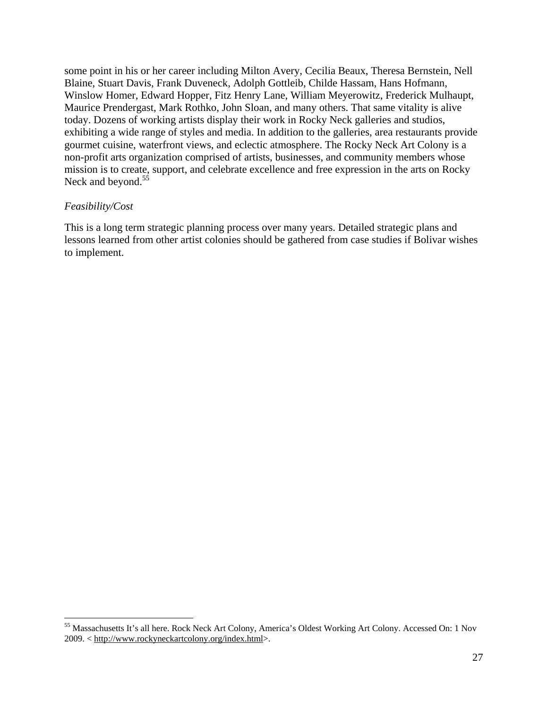some point in his or her career including Milton Avery, Cecilia Beaux, Theresa Bernstein, Nell Blaine, Stuart Davis, Frank Duveneck, Adolph Gottleib, Childe Hassam, Hans Hofmann, Winslow Homer, Edward Hopper, Fitz Henry Lane, William Meyerowitz, Frederick Mulhaupt, Maurice Prendergast, Mark Rothko, John Sloan, and many others. That same vitality is alive today. Dozens of working artists display their work in Rocky Neck galleries and studios, exhibiting a wide range of styles and media. In addition to the galleries, area restaurants provide gourmet cuisine, waterfront views, and eclectic atmosphere. The Rocky Neck Art Colony is a non-profit arts organization comprised of artists, businesses, and community members whose mission is to create, support, and celebrate excellence and free expression in the arts on Rocky Neck and beyond.<sup>55</sup>

#### *Feasibility/Cost*

1

This is a long term strategic planning process over many years. Detailed strategic plans and lessons learned from other artist colonies should be gathered from case studies if Bolivar wishes to implement.

<sup>&</sup>lt;sup>55</sup> Massachusetts It's all here. Rock Neck Art Colony, America's Oldest Working Art Colony. Accessed On: 1 Nov 2009. < http://www.rockyneckartcolony.org/index.html>.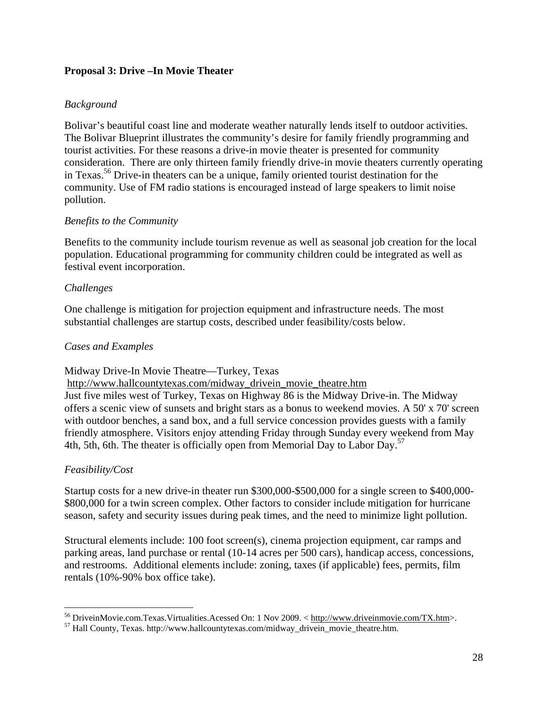## **Proposal 3: Drive –In Movie Theater**

## *Background*

Bolivar's beautiful coast line and moderate weather naturally lends itself to outdoor activities. The Bolivar Blueprint illustrates the community's desire for family friendly programming and tourist activities. For these reasons a drive-in movie theater is presented for community consideration. There are only thirteen family friendly drive-in movie theaters currently operating in Texas.<sup>56</sup> Drive-in theaters can be a unique, family oriented tourist destination for the community. Use of FM radio stations is encouraged instead of large speakers to limit noise pollution.

#### *Benefits to the Community*

Benefits to the community include tourism revenue as well as seasonal job creation for the local population. Educational programming for community children could be integrated as well as festival event incorporation.

#### *Challenges*

One challenge is mitigation for projection equipment and infrastructure needs. The most substantial challenges are startup costs, described under feasibility/costs below.

#### *Cases and Examples*

Midway Drive-In Movie Theatre—Turkey, Texas

http://www.hallcountytexas.com/midway\_drivein\_movie\_theatre.htm

Just five miles west of Turkey, Texas on Highway 86 is the Midway Drive-in. The Midway offers a scenic view of sunsets and bright stars as a bonus to weekend movies. A 50' x 70' screen with outdoor benches, a sand box, and a full service concession provides guests with a family friendly atmosphere. Visitors enjoy attending Friday through Sunday every weekend from May 4th, 5th, 6th. The theater is officially open from Memorial Day to Labor Day.<sup>57</sup>

## *Feasibility/Cost*

 $\overline{a}$ 

Startup costs for a new drive-in theater run \$300,000-\$500,000 for a single screen to \$400,000- \$800,000 for a twin screen complex. Other factors to consider include mitigation for hurricane season, safety and security issues during peak times, and the need to minimize light pollution.

Structural elements include: 100 foot screen(s), cinema projection equipment, car ramps and parking areas, land purchase or rental (10-14 acres per 500 cars), handicap access, concessions, and restrooms. Additional elements include: zoning, taxes (if applicable) fees, permits, film rentals (10%-90% box office take).

<sup>&</sup>lt;sup>56</sup> DriveinMovie.com.Texas.Virtualities.Acessed On: 1 Nov 2009. < http://www.driveinmovie.com/TX.htm>.<br><sup>57</sup> Hall County, Texas. http://www.hallcountytexas.com/midway\_drivein\_movie\_theatre.htm.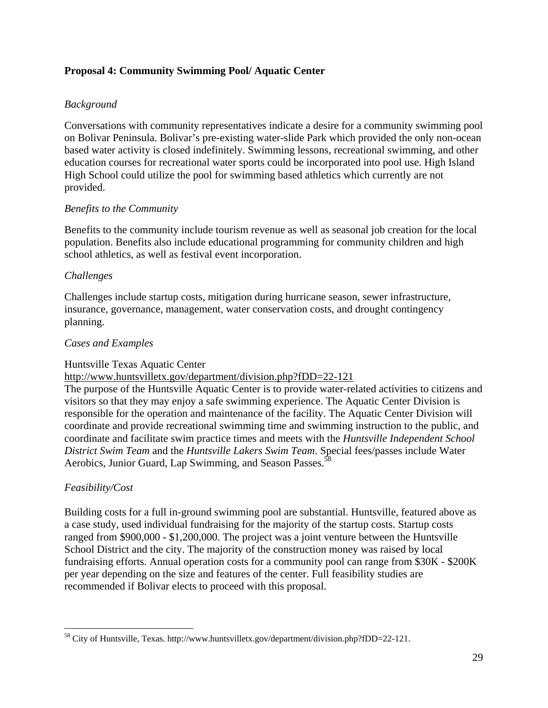## **Proposal 4: Community Swimming Pool/ Aquatic Center**

## *Background*

Conversations with community representatives indicate a desire for a community swimming pool on Bolivar Peninsula. Bolivar's pre-existing water-slide Park which provided the only non-ocean based water activity is closed indefinitely. Swimming lessons, recreational swimming, and other education courses for recreational water sports could be incorporated into pool use. High Island High School could utilize the pool for swimming based athletics which currently are not provided.

## *Benefits to the Community*

Benefits to the community include tourism revenue as well as seasonal job creation for the local population. Benefits also include educational programming for community children and high school athletics, as well as festival event incorporation.

## *Challenges*

Challenges include startup costs, mitigation during hurricane season, sewer infrastructure, insurance, governance, management, water conservation costs, and drought contingency planning.

## *Cases and Examples*

#### Huntsville Texas Aquatic Center

http://www.huntsvilletx.gov/department/division.php?fDD=22-121

The purpose of the Huntsville Aquatic Center is to provide water-related activities to citizens and visitors so that they may enjoy a safe swimming experience. The Aquatic Center Division is responsible for the operation and maintenance of the facility. The Aquatic Center Division will coordinate and provide recreational swimming time and swimming instruction to the public, and coordinate and facilitate swim practice times and meets with the *Huntsville Independent School District Swim Team* and the *Huntsville Lakers Swim Team*. Special fees/passes include Water Aerobics, Junior Guard, Lap Swimming, and Season Passes.<sup>5</sup>

## *Feasibility/Cost*

 $\overline{a}$ 

Building costs for a full in-ground swimming pool are substantial. Huntsville, featured above as a case study, used individual fundraising for the majority of the startup costs. Startup costs ranged from \$900,000 - \$1,200,000. The project was a joint venture between the Huntsville School District and the city. The majority of the construction money was raised by local fundraising efforts. Annual operation costs for a community pool can range from \$30K - \$200K per year depending on the size and features of the center. Full feasibility studies are recommended if Bolivar elects to proceed with this proposal.

<sup>58</sup> City of Huntsville, Texas. http://www.huntsvilletx.gov/department/division.php?fDD=22-121.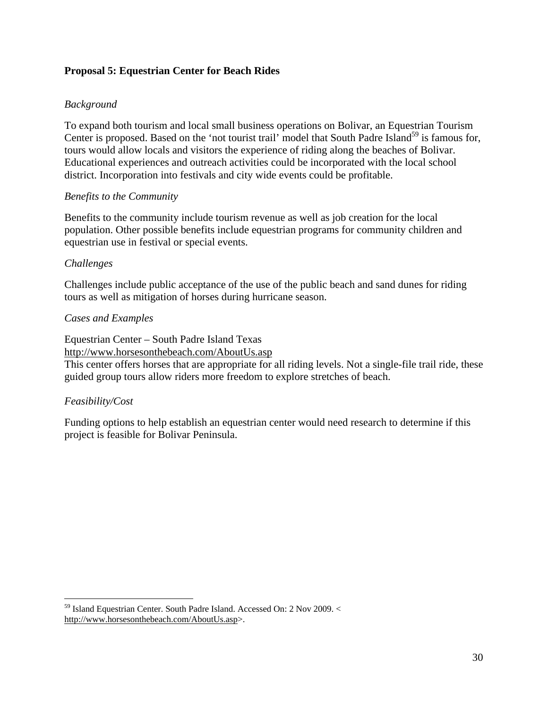## **Proposal 5: Equestrian Center for Beach Rides**

## *Background*

To expand both tourism and local small business operations on Bolivar, an Equestrian Tourism Center is proposed. Based on the 'not tourist trail' model that South Padre Island<sup>59</sup> is famous for, tours would allow locals and visitors the experience of riding along the beaches of Bolivar. Educational experiences and outreach activities could be incorporated with the local school district. Incorporation into festivals and city wide events could be profitable.

#### *Benefits to the Community*

Benefits to the community include tourism revenue as well as job creation for the local population. Other possible benefits include equestrian programs for community children and equestrian use in festival or special events.

#### *Challenges*

Challenges include public acceptance of the use of the public beach and sand dunes for riding tours as well as mitigation of horses during hurricane season.

#### *Cases and Examples*

Equestrian Center – South Padre Island Texas

http://www.horsesonthebeach.com/AboutUs.asp

This center offers horses that are appropriate for all riding levels. Not a single-file trail ride, these guided group tours allow riders more freedom to explore stretches of beach.

#### *Feasibility/Cost*

 $\overline{a}$ 

Funding options to help establish an equestrian center would need research to determine if this project is feasible for Bolivar Peninsula.

<sup>59</sup> Island Equestrian Center. South Padre Island. Accessed On: 2 Nov 2009. < http://www.horsesonthebeach.com/AboutUs.asp>.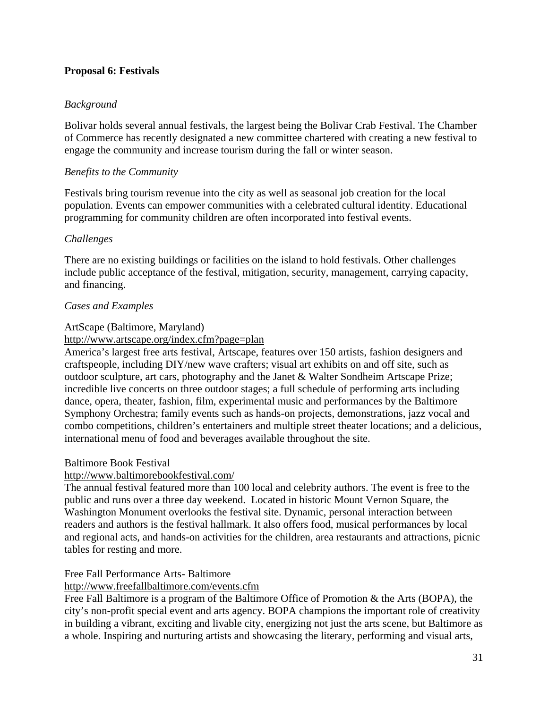## **Proposal 6: Festivals**

## *Background*

Bolivar holds several annual festivals, the largest being the Bolivar Crab Festival. The Chamber of Commerce has recently designated a new committee chartered with creating a new festival to engage the community and increase tourism during the fall or winter season.

## *Benefits to the Community*

Festivals bring tourism revenue into the city as well as seasonal job creation for the local population. Events can empower communities with a celebrated cultural identity. Educational programming for community children are often incorporated into festival events.

## *Challenges*

There are no existing buildings or facilities on the island to hold festivals. Other challenges include public acceptance of the festival, mitigation, security, management, carrying capacity, and financing.

## *Cases and Examples*

## ArtScape (Baltimore, Maryland)

#### http://www.artscape.org/index.cfm?page=plan

America's largest free arts festival, Artscape, features over 150 artists, fashion designers and craftspeople, including DIY/new wave crafters; visual art exhibits on and off site, such as outdoor sculpture, art cars, photography and the Janet & Walter Sondheim Artscape Prize; incredible live concerts on three outdoor stages; a full schedule of performing arts including dance, opera, theater, fashion, film, experimental music and performances by the Baltimore Symphony Orchestra; family events such as hands-on projects, demonstrations, jazz vocal and combo competitions, children's entertainers and multiple street theater locations; and a delicious, international menu of food and beverages available throughout the site.

#### Baltimore Book Festival

## http://www.baltimorebookfestival.com/

The annual festival featured more than 100 local and celebrity authors. The event is free to the public and runs over a three day weekend. Located in historic Mount Vernon Square, the Washington Monument overlooks the festival site. Dynamic, personal interaction between readers and authors is the festival hallmark. It also offers food, musical performances by local and regional acts, and hands-on activities for the children, area restaurants and attractions, picnic tables for resting and more.

## Free Fall Performance Arts- Baltimore

#### http://www.freefallbaltimore.com/events.cfm

Free Fall Baltimore is a program of the Baltimore Office of Promotion & the Arts (BOPA), the city's non-profit special event and arts agency. BOPA champions the important role of creativity in building a vibrant, exciting and livable city, energizing not just the arts scene, but Baltimore as a whole. Inspiring and nurturing artists and showcasing the literary, performing and visual arts,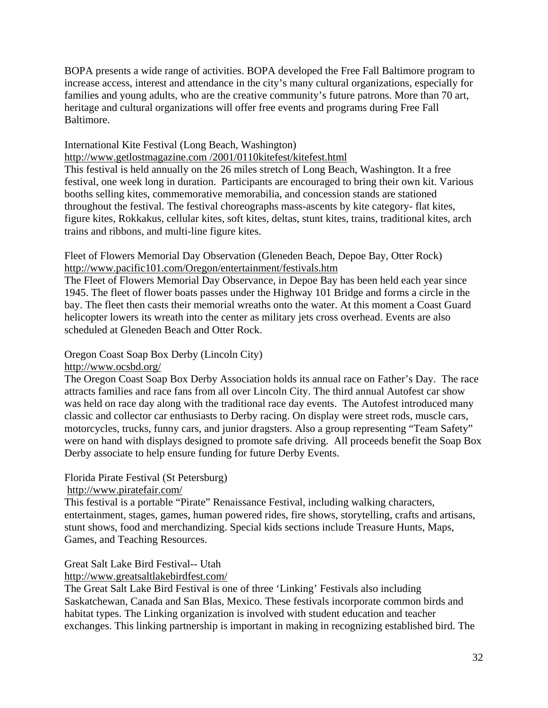BOPA presents a wide range of activities. BOPA developed the Free Fall Baltimore program to increase access, interest and attendance in the city's many cultural organizations, especially for families and young adults, who are the creative community's future patrons. More than 70 art, heritage and cultural organizations will offer free events and programs during Free Fall Baltimore.

#### International Kite Festival (Long Beach, Washington)

http://www.getlostmagazine.com /2001/0110kitefest/kitefest.html

This festival is held annually on the 26 miles stretch of Long Beach, Washington. It a free festival, one week long in duration. Participants are encouraged to bring their own kit. Various booths selling kites, commemorative memorabilia, and concession stands are stationed throughout the festival. The festival choreographs mass-ascents by kite category- flat kites, figure kites, Rokkakus, cellular kites, soft kites, deltas, stunt kites, trains, traditional kites, arch trains and ribbons, and multi-line figure kites.

#### Fleet of Flowers Memorial Day Observation (Gleneden Beach, Depoe Bay, Otter Rock) http://www.pacific101.com/Oregon/entertainment/festivals.htm

The Fleet of Flowers Memorial Day Observance, in Depoe Bay has been held each year since 1945. The fleet of flower boats passes under the Highway 101 Bridge and forms a circle in the bay. The fleet then casts their memorial wreaths onto the water. At this moment a Coast Guard helicopter lowers its wreath into the center as military jets cross overhead. Events are also scheduled at Gleneden Beach and Otter Rock.

## Oregon Coast Soap Box Derby (Lincoln City)

#### http://www.ocsbd.org/

The Oregon Coast Soap Box Derby Association holds its annual race on Father's Day. The race attracts families and race fans from all over Lincoln City. The third annual Autofest car show was held on race day along with the traditional race day events. The Autofest introduced many classic and collector car enthusiasts to Derby racing. On display were street rods, muscle cars, motorcycles, trucks, funny cars, and junior dragsters. Also a group representing "Team Safety" were on hand with displays designed to promote safe driving. All proceeds benefit the Soap Box Derby associate to help ensure funding for future Derby Events.

#### Florida Pirate Festival (St Petersburg)

#### http://www.piratefair.com/

This festival is a portable "Pirate" Renaissance Festival, including walking characters, entertainment, stages, games, human powered rides, fire shows, storytelling, crafts and artisans, stunt shows, food and merchandizing. Special kids sections include Treasure Hunts, Maps, Games, and Teaching Resources.

## Great Salt Lake Bird Festival-- Utah

#### http://www.greatsaltlakebirdfest.com/

The Great Salt Lake Bird Festival is one of three 'Linking' Festivals also including Saskatchewan, Canada and San Blas, Mexico. These festivals incorporate common birds and habitat types. The Linking organization is involved with student education and teacher exchanges. This linking partnership is important in making in recognizing established bird. The